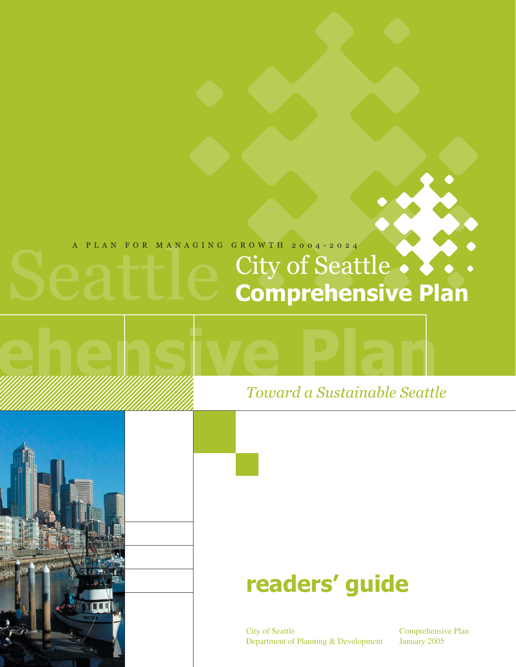### A PLAN FOR MANAGING GROWTH 2004-2024

# City of Seattle **Comprehensive Plan**

# *Toward a Sustainable Seattle*

# **readers' guide**

City of Seattle Department of Planning & Development

Comprehensive Plan January 2005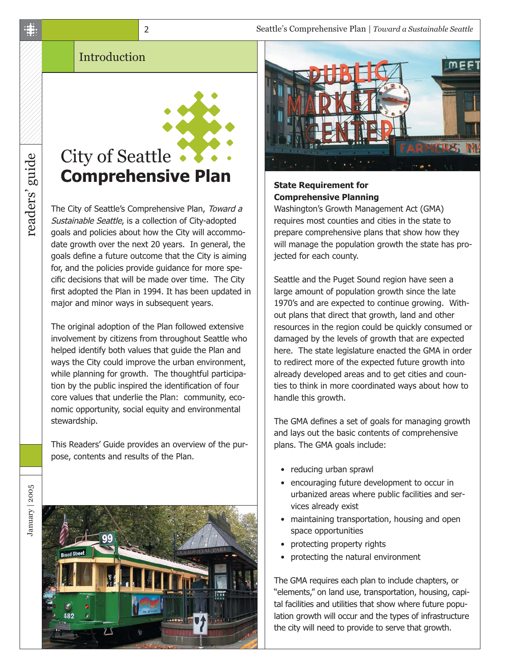# City of Seattle • **Comprehensive Plan**

2

The City of Seattle's Comprehensive Plan, Toward a Sustainable Seattle, is a collection of City-adopted goals and policies about how the City will accommodate growth over the next 20 years. In general, the goals define a future outcome that the City is aiming for, and the policies provide guidance for more specific decisions that will be made over time. The City first adopted the Plan in 1994. It has been updated in major and minor ways in subsequent years.

The original adoption of the Plan followed extensive involvement by citizens from throughout Seattle who helped identify both values that guide the Plan and ways the City could improve the urban environment, while planning for growth. The thoughtful participation by the public inspired the identification of four core values that underlie the Plan: community, economic opportunity, social equity and environmental stewardship.

This Readers' Guide provides an overview of the purpose, contents and results of the Plan.





#### **State Requirement for Comprehensive Planning**

Washington's Growth Management Act (GMA) requires most counties and cities in the state to prepare comprehensive plans that show how they will manage the population growth the state has projected for each county.

Seattle and the Puget Sound region have seen a large amount of population growth since the late 1970's and are expected to continue growing. Without plans that direct that growth, land and other resources in the region could be quickly consumed or damaged by the levels of growth that are expected here. The state legislature enacted the GMA in order to redirect more of the expected future growth into already developed areas and to get cities and counties to think in more coordinated ways about how to handle this growth.

The GMA defines a set of goals for managing growth and lays out the basic contents of comprehensive plans. The GMA goals include:

- reducing urban sprawl
- encouraging future development to occur in urbanized areas where public facilities and services already exist
- maintaining transportation, housing and open space opportunities
- protecting property rights
- protecting the natural environment

The GMA requires each plan to include chapters, or "elements," on land use, transportation, housing, capital facilities and utilities that show where future population growth will occur and the types of infrastructure the city will need to provide to serve that growth.

readers' guide readers' guide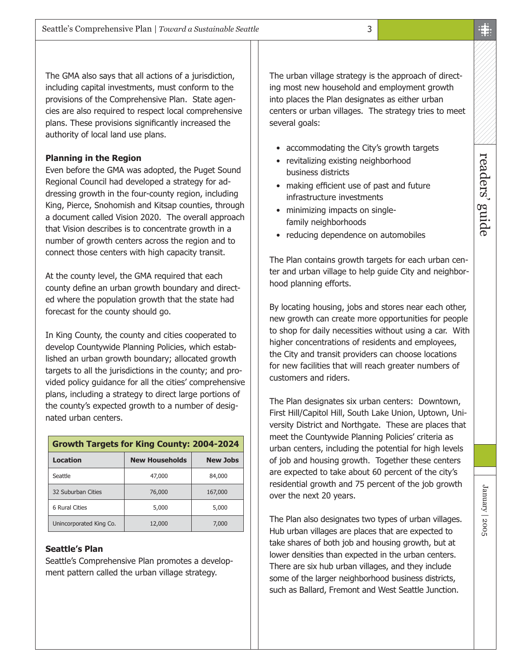The GMA also says that all actions of a jurisdiction, including capital investments, must conform to the provisions of the Comprehensive Plan. State agencies are also required to respect local comprehensive plans. These provisions significantly increased the authority of local land use plans.

#### **Planning in the Region**

Even before the GMA was adopted, the Puget Sound Regional Council had developed a strategy for addressing growth in the four-county region, including King, Pierce, Snohomish and Kitsap counties, through a document called Vision 2020. The overall approach that Vision describes is to concentrate growth in a number of growth centers across the region and to connect those centers with high capacity transit.

At the county level, the GMA required that each county define an urban growth boundary and directed where the population growth that the state had forecast for the county should go.

In King County, the county and cities cooperated to develop Countywide Planning Policies, which established an urban growth boundary; allocated growth targets to all the jurisdictions in the county; and provided policy guidance for all the cities' comprehensive plans, including a strategy to direct large portions of the county's expected growth to a number of designated urban centers.

| <b>Growth Targets for King County: 2004-2024</b> |                       |                 |  |
|--------------------------------------------------|-----------------------|-----------------|--|
| <b>Location</b>                                  | <b>New Households</b> | <b>New Jobs</b> |  |
| Seattle                                          | 47,000                | 84,000          |  |
| 32 Suburban Cities                               | 76,000                | 167,000         |  |
| 6 Rural Cities                                   | 5,000                 | 5,000           |  |
| Unincorporated King Co.                          | 12,000                | 7,000           |  |

#### **Seattle's Plan**

Seattle's Comprehensive Plan promotes a development pattern called the urban village strategy.

The urban village strategy is the approach of directing most new household and employment growth into places the Plan designates as either urban centers or urban villages. The strategy tries to meet several goals:

- accommodating the City's growth targets
- revitalizing existing neighborhood business districts
- making efficient use of past and future infrastructure investments
- minimizing impacts on singlefamily neighborhoods
- reducing dependence on automobiles

The Plan contains growth targets for each urban center and urban village to help guide City and neighborhood planning efforts.

By locating housing, jobs and stores near each other, new growth can create more opportunities for people to shop for daily necessities without using a car. With higher concentrations of residents and employees, the City and transit providers can choose locations for new facilities that will reach greater numbers of customers and riders.

The Plan designates six urban centers: Downtown, First Hill/Capitol Hill, South Lake Union, Uptown, University District and Northgate. These are places that meet the Countywide Planning Policies' criteria as urban centers, including the potential for high levels of job and housing growth. Together these centers are expected to take about 60 percent of the city's residential growth and 75 percent of the job growth over the next 20 years.

The Plan also designates two types of urban villages. Hub urban villages are places that are expected to take shares of both job and housing growth, but at lower densities than expected in the urban centers. There are six hub urban villages, and they include some of the larger neighborhood business districts, such as Ballard, Fremont and West Seattle Junction.

readers' guide

readers' guide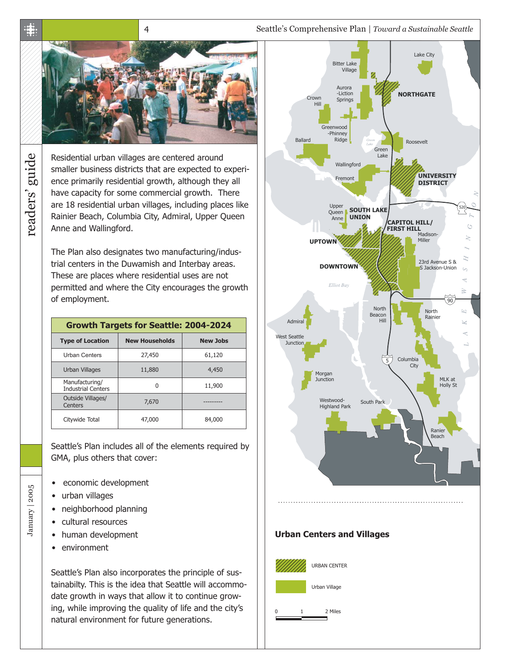Seattle's Comprehensive Plan | *Toward a Sustainable Seattle*



4

Residential urban villages are centered around smaller business districts that are expected to experience primarily residential growth, although they all have capacity for some commercial growth. There are 18 residential urban villages, including places like Rainier Beach, Columbia City, Admiral, Upper Queen Anne and Wallingford.

The Plan also designates two manufacturing/industrial centers in the Duwamish and Interbay areas. These are places where residential uses are not permitted and where the City encourages the growth of employment.

| <b>Growth Targets for Seattle: 2004-2024</b> |                       |                 |  |
|----------------------------------------------|-----------------------|-----------------|--|
| <b>Type of Location</b>                      | <b>New Households</b> | <b>New Jobs</b> |  |
| <b>Urban Centers</b>                         | 27,450                | 61,120          |  |
| Urban Villages                               | 11,880                | 4,450           |  |
| Manufacturing/<br><b>Industrial Centers</b>  | O                     | 11,900          |  |
| Outside Villages/<br>Centers                 | 7,670                 |                 |  |
| Citywide Total                               | 47,000                | 84,000          |  |

Seattle's Plan includes all of the elements required by GMA, plus others that cover:

- economic development
- urban villages

January | 2005

January | 2005

- neighborhood planning
- cultural resources
- human development
- environment

Seattle's Plan also incorporates the principle of sustainabilty. This is the idea that Seattle will accommodate growth in ways that allow it to continue growing, while improving the quality of life and the city's natural environment for future generations.



 $\ddot{\ddot{\textbf{x}}}$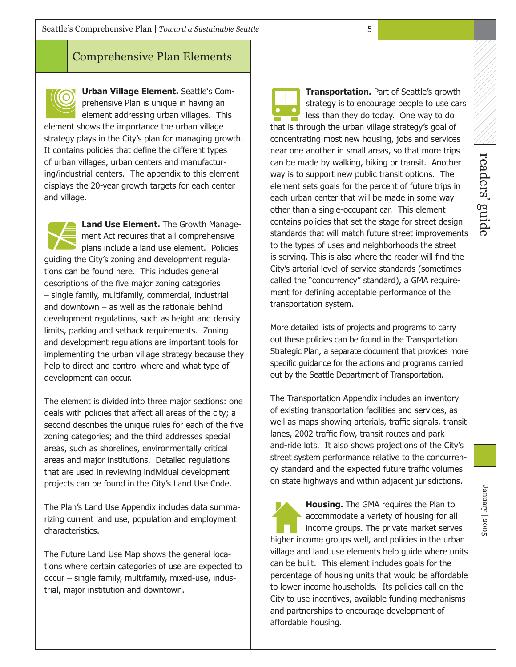### Comprehensive Plan Elements

**Urban Village Element.** Seattle's Comprehensive Plan is unique in having an element addressing urban villages. This element shows the importance the urban village strategy plays in the City's plan for managing growth. It contains policies that define the different types of urban villages, urban centers and manufacturing/industrial centers. The appendix to this element displays the 20-year growth targets for each center and village.

**Land Use Element.** The Growth Management Act requires that all comprehensive plans include a land use element. Policies guiding the City's zoning and development regulations can be found here. This includes general descriptions of the five major zoning categories – single family, multifamily, commercial, industrial and downtown  $-$  as well as the rationale behind development regulations, such as height and density limits, parking and setback requirements. Zoning and development regulations are important tools for implementing the urban village strategy because they help to direct and control where and what type of development can occur.

The element is divided into three major sections: one deals with policies that affect all areas of the city; a second describes the unique rules for each of the five zoning categories; and the third addresses special areas, such as shorelines, environmentally critical areas and major institutions. Detailed regulations that are used in reviewing individual development projects can be found in the City's Land Use Code.

The Plan's Land Use Appendix includes data summarizing current land use, population and employment characteristics.

The Future Land Use Map shows the general locations where certain categories of use are expected to occur – single family, multifamily, mixed-use, industrial, major institution and downtown.

**Transportation.** Part of Seattle's growth strategy is to encourage people to use cars less than they do today. One way to do that is through the urban village strategy's goal of concentrating most new housing, jobs and services near one another in small areas, so that more trips can be made by walking, biking or transit. Another way is to support new public transit options. The element sets goals for the percent of future trips in each urban center that will be made in some way other than a single-occupant car. This element contains policies that set the stage for street design standards that will match future street improvements to the types of uses and neighborhoods the street is serving. This is also where the reader will find the City's arterial level-of-service standards (sometimes called the "concurrency" standard), a GMA requirement for defining acceptable performance of the transportation system.

More detailed lists of projects and programs to carry out these policies can be found in the Transportation Strategic Plan, a separate document that provides more specific guidance for the actions and programs carried out by the Seattle Department of Transportation.

The Transportation Appendix includes an inventory of existing transportation facilities and services, as well as maps showing arterials, traffic signals, transit lanes, 2002 traffic flow, transit routes and parkand-ride lots. It also shows projections of the City's street system performance relative to the concurrency standard and the expected future traffic volumes on state highways and within adjacent jurisdictions.

**Housing.** The GMA requires the Plan to accommodate a variety of housing for all income groups. The private market serves higher income groups well, and policies in the urban village and land use elements help guide where units can be built. This element includes goals for the percentage of housing units that would be affordable to lower-income households. Its policies call on the City to use incentives, available funding mechanisms and partnerships to encourage development of affordable housing.

January | 2005

January | 2005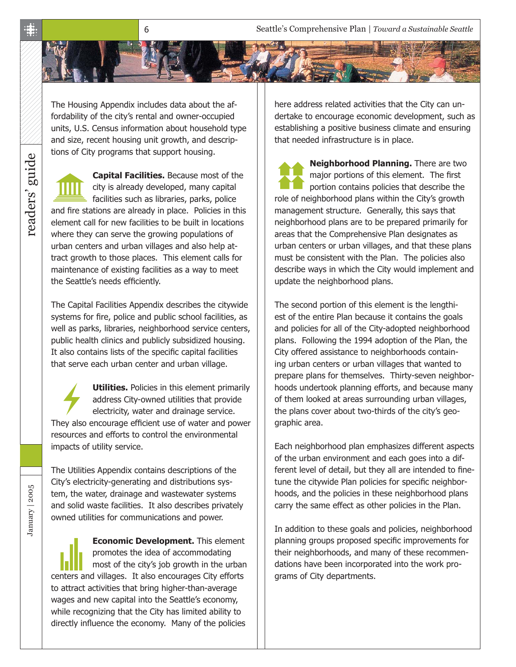Seattle's Comprehensive Plan | *Toward a Sustainable Seattle*

The Housing Appendix includes data about the affordability of the city's rental and owner-occupied units, U.S. Census information about household type and size, recent housing unit growth, and descriptions of City programs that support housing.

6

**Capital Facilities.** Because most of the city is already developed, many capital facilities such as libraries, parks, police and fire stations are already in place. Policies in this element call for new facilities to be built in locations where they can serve the growing populations of urban centers and urban villages and also help attract growth to those places. This element calls for maintenance of existing facilities as a way to meet the Seattle's needs efficiently.

The Capital Facilities Appendix describes the citywide systems for fire, police and public school facilities, as well as parks, libraries, neighborhood service centers, public health clinics and publicly subsidized housing. It also contains lists of the specific capital facilities that serve each urban center and urban village.

**Utilities.** Policies in this element primarily address City-owned utilities that provide electricity, water and drainage service. They also encourage efficient use of water and power resources and efforts to control the environmental impacts of utility service.

The Utilities Appendix contains descriptions of the City's electricity-generating and distributions system, the water, drainage and wastewater systems and solid waste facilities. It also describes privately owned utilities for communications and power.

**Economic Development.** This element promotes the idea of accommodating most of the city's job growth in the urban centers and villages. It also encourages City efforts to attract activities that bring higher-than-average wages and new capital into the Seattle's economy, while recognizing that the City has limited ability to directly influence the economy. Many of the policies

here address related activities that the City can undertake to encourage economic development, such as establishing a positive business climate and ensuring that needed infrastructure is in place.

**Neighborhood Planning.** There are two major portions of this element. The first portion contains policies that describe the role of neighborhood plans within the City's growth management structure. Generally, this says that neighborhood plans are to be prepared primarily for areas that the Comprehensive Plan designates as urban centers or urban villages, and that these plans must be consistent with the Plan. The policies also describe ways in which the City would implement and update the neighborhood plans.

The second portion of this element is the lengthiest of the entire Plan because it contains the goals and policies for all of the City-adopted neighborhood plans. Following the 1994 adoption of the Plan, the City offered assistance to neighborhoods containing urban centers or urban villages that wanted to prepare plans for themselves. Thirty-seven neighborhoods undertook planning efforts, and because many of them looked at areas surrounding urban villages, the plans cover about two-thirds of the city's geographic area.

Each neighborhood plan emphasizes different aspects of the urban environment and each goes into a different level of detail, but they all are intended to finetune the citywide Plan policies for specific neighborhoods, and the policies in these neighborhood plans carry the same effect as other policies in the Plan.

In addition to these goals and policies, neighborhood planning groups proposed specific improvements for their neighborhoods, and many of these recommendations have been incorporated into the work programs of City departments.

January | 2005

January | 2005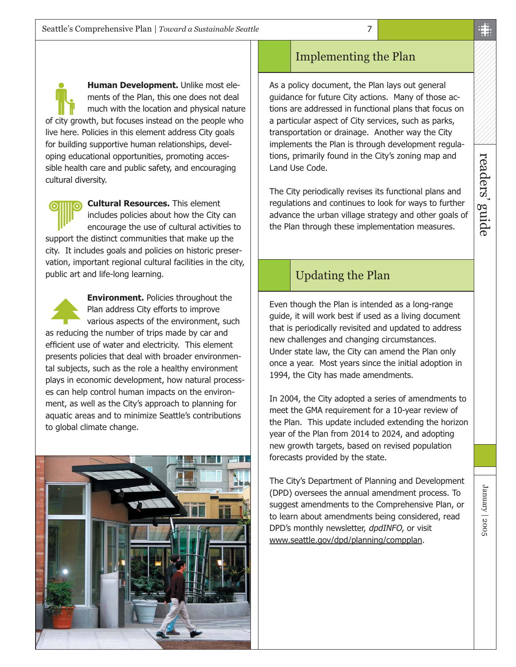**Human Development.** Unlike most elements of the Plan, this one does not deal much with the location and physical nature of city growth, but focuses instead on the people who live here. Policies in this element address City goals for building supportive human relationships, developing educational opportunities, promoting accessible health care and public safety, and encouraging cultural diversity.

**Cultural Resources.** This element includes policies about how the City can encourage the use of cultural activities to support the distinct communities that make up the city. It includes goals and policies on historic preservation, important regional cultural facilities in the city, public art and life-long learning.

**Environment.** Policies throughout the Plan address City efforts to improve various aspects of the environment, such as reducing the number of trips made by car and efficient use of water and electricity. This element presents policies that deal with broader environmental subjects, such as the role a healthy environment plays in economic development, how natural processes can help control human impacts on the environment, as well as the City's approach to planning for aquatic areas and to minimize Seattle's contributions to global climate change.



## Implementing the Plan

As a policy document, the Plan lays out general guidance for future City actions. Many of those actions are addressed in functional plans that focus on a particular aspect of City services, such as parks, transportation or drainage. Another way the City implements the Plan is through development regulations, primarily found in the City's zoning map and Land Use Code.

The City periodically revises its functional plans and regulations and continues to look for ways to further advance the urban village strategy and other goals of the Plan through these implementation measures.

## Updating the Plan

Even though the Plan is intended as a long-range guide, it will work best if used as a living document that is periodically revisited and updated to address new challenges and changing circumstances. Under state law, the City can amend the Plan only once a year. Most years since the initial adoption in 1994, the City has made amendments.

In 2004, the City adopted a series of amendments to meet the GMA requirement for a 10-year review of the Plan. This update included extending the horizon year of the Plan from 2014 to 2024, and adopting new growth targets, based on revised population forecasts provided by the state.

The City's Department of Planning and Development (DPD) oversees the annual amendment process. To suggest amendments to the Comprehensive Plan, or to learn about amendments being considered, read DPD's monthly newsletter, dpdINFO, or visit [www.seattle.gov/dpd/planning/compplan.](http://www.seattle.gov/dpd/Planning/seattle)

January | 2005

January | 2005